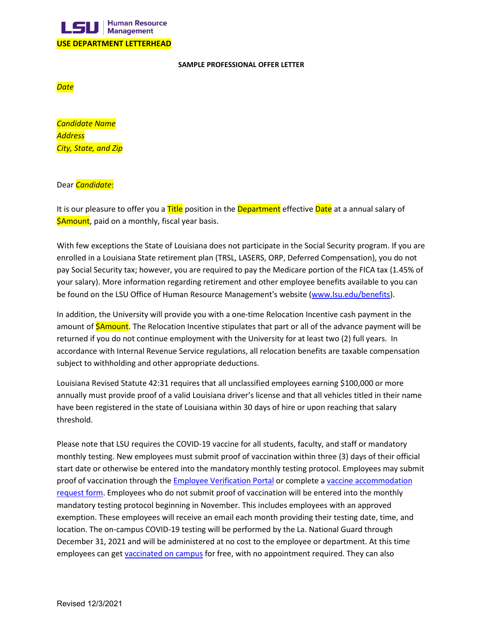

## **SAMPLE PROFESSIONAL OFFER LETTER**

*Date*

*Candidate Name Address City, State, and Zip*

## Dear *Candidate*:

It is our pleasure to offer you a **Title** position in the **Department** effective **Date** at a annual salary of **SAmount**, paid on a monthly, fiscal year basis.

With few exceptions the State of Louisiana does not participate in the Social Security program. If you are enrolled in a Louisiana State retirement plan (TRSL, LASERS, ORP, Deferred Compensation), you do not pay Social Security tax; however, you are required to pay the Medicare portion of the FICA tax (1.45% of your salary). More information regarding retirement and other employee benefits available to you can be found on the LSU Office of Human Resource Management's website [\(www.lsu.edu/benefits\)](http://www.lsu.edu/benefits).

In addition, the University will provide you with a one-time Relocation Incentive cash payment in the amount of **\$Amount**. The Relocation Incentive stipulates that part or all of the advance payment will be returned if you do not continue employment with the University for at least two (2) full years. In accordance with Internal Revenue Service regulations, all relocation benefits are taxable compensation subject to withholding and other appropriate deductions.

Louisiana Revised Statute 42:31 requires that all unclassified employees earning \$100,000 or more annually must provide proof of a valid Louisiana driver's license and that all vehicles titled in their name have been registered in the state of Louisiana within 30 days of hire or upon reaching that salary threshold.

Please note that LSU requires the COVID-19 vaccine for all students, faculty, and staff or mandatory monthly testing. New employees must submit proof of vaccination within three (3) days of their official start date or otherwise be entered into the mandatory monthly testing protocol. Employees may submit proof of vaccination through the **Employee Verification Portal or complete a vaccine accommodation** [request form.](https://lsu.edu/civil-rights/ada/forms/employee-vaccine-accommodation-request-form.pdf) Employees who do not submit proof of vaccination will be entered into the monthly mandatory testing protocol beginning in November. This includes employees with an approved exemption. These employees will receive an email each month providing their testing date, time, and location. The on-campus COVID-19 testing will be performed by the La. National Guard through December 31, 2021 and will be administered at no cost to the employee or department. At this time employees can get [vaccinated on campus](https://lsu.edu/roadmap/vaccines/index.php) for free, with no appointment required. They can also